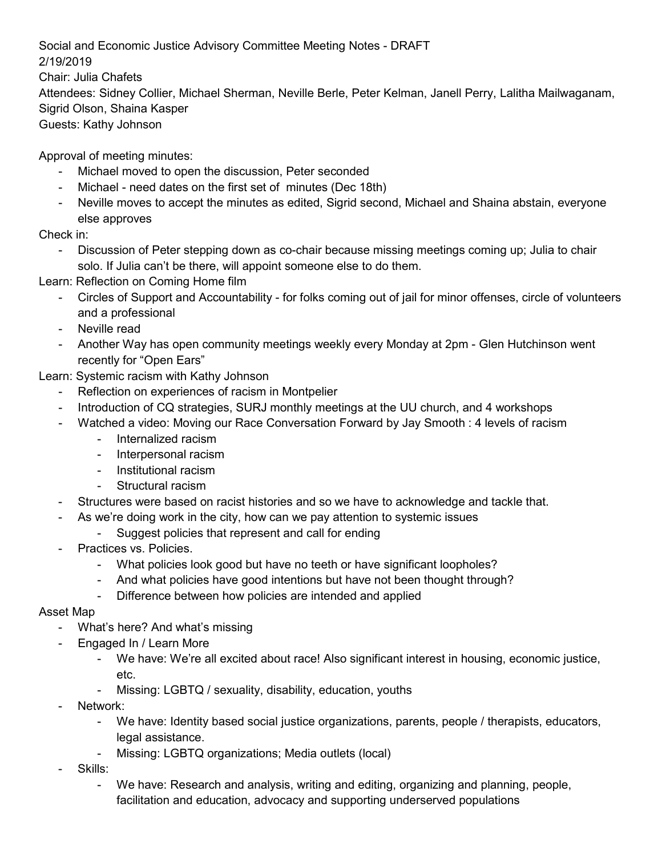Social and Economic Justice Advisory Committee Meeting Notes - DRAFT 2/19/2019 Chair: Julia Chafets Attendees: Sidney Collier, Michael Sherman, Neville Berle, Peter Kelman, Janell Perry, Lalitha Mailwaganam, Sigrid Olson, Shaina Kasper Guests: Kathy Johnson

Approval of meeting minutes:

- Michael moved to open the discussion, Peter seconded
- Michael need dates on the first set of minutes (Dec 18th)
- Neville moves to accept the minutes as edited, Sigrid second, Michael and Shaina abstain, everyone else approves

Check in:

- Discussion of Peter stepping down as co-chair because missing meetings coming up; Julia to chair solo. If Julia can't be there, will appoint someone else to do them.

Learn: Reflection on Coming Home film

- Circles of Support and Accountability for folks coming out of jail for minor offenses, circle of volunteers and a professional
- Neville read
- Another Way has open community meetings weekly every Monday at 2pm Glen Hutchinson went recently for "Open Ears"

Learn: Systemic racism with Kathy Johnson

- Reflection on experiences of racism in Montpelier
- Introduction of CQ strategies, SURJ monthly meetings at the UU church, and 4 workshops
- Watched a video: Moving our Race Conversation Forward by Jay Smooth : 4 levels of racism
	- Internalized racism
	- Interpersonal racism
	- Institutional racism
	- Structural racism
- Structures were based on racist histories and so we have to acknowledge and tackle that.
	- As we're doing work in the city, how can we pay attention to systemic issues
		- Suggest policies that represent and call for ending
- Practices vs. Policies.
	- What policies look good but have no teeth or have significant loopholes?
	- And what policies have good intentions but have not been thought through?
	- Difference between how policies are intended and applied

## Asset Map

- What's here? And what's missing
- Engaged In / Learn More
	- We have: We're all excited about race! Also significant interest in housing, economic justice, etc.
	- Missing: LGBTQ / sexuality, disability, education, youths
- Network:
	- We have: Identity based social justice organizations, parents, people / therapists, educators, legal assistance.
	- Missing: LGBTQ organizations; Media outlets (local)
- Skills:
	- We have: Research and analysis, writing and editing, organizing and planning, people, facilitation and education, advocacy and supporting underserved populations